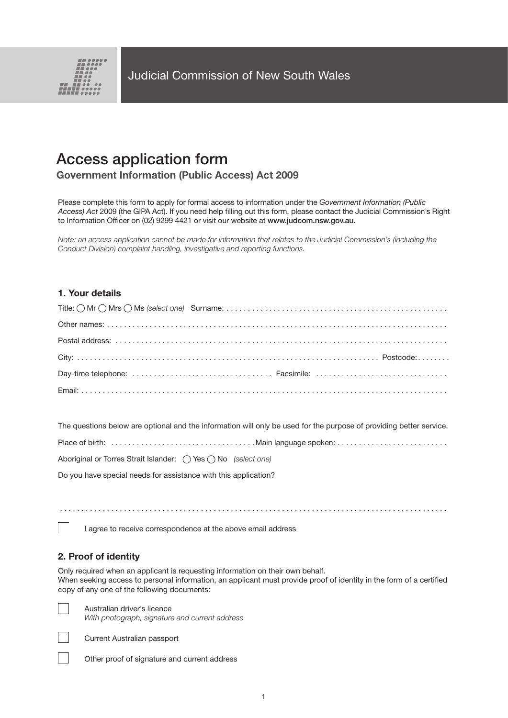

# Access application form

# **Government Information (Public Access) Act 2009**

Please complete this form to apply for formal access to information under the *Government Information (Public Access) Act* 2009 (the GIPA Act). If you need help filling out this form, please contact the Judicial Commission's Right to Information Officer on (02) 9299 4421 or visit our website at www.judcom.nsw.gov.au.

*Note: an access application cannot be made for information that relates to the Judicial Commission's (including the Conduct Division) complaint handling, investigative and reporting functions.*

# **1. Your details**

The questions below are optional and the information will only be used for the purpose of providing better service.

|--|

Aboriginal or Torres Strait Islander: ( ) Yes  $\bigcap$  No *(select one)* 

Do you have special needs for assistance with this application?

. . . . . . . . . . . . . . . . . . . . . . . . . . . . . . . . . . . . . . . . . . . . . . . . . . . . . . . . . . . . . . . . . . . . . . . . . . . . . . . . . . . . . . . . . . .

I agree to receive correspondence at the above email address

# **2. Proof of identity**

Only required when an applicant is requesting information on their own behalf. When seeking access to personal information, an applicant must provide proof of identity in the form of a certified copy of any one of the following documents:

Australian driver's licence *With photograph, signature and current address*



Current Australian passport

Other proof of signature and current address